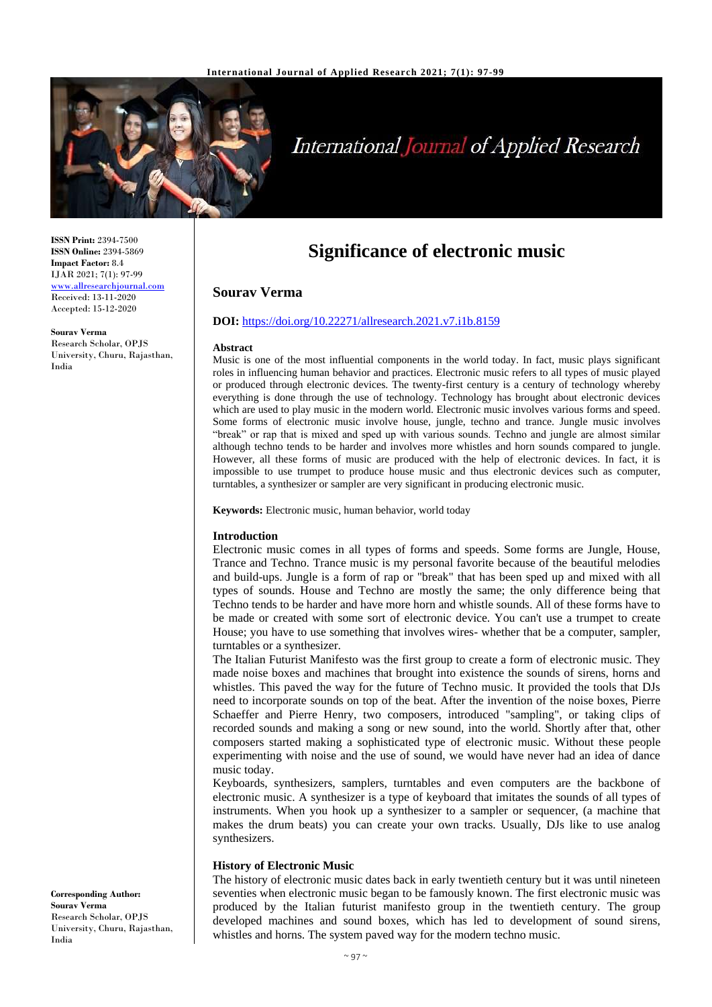

# International Journal of Applied Research

**ISSN Print:** 2394-7500 **ISSN Online:** 2394-5869 **Impact Factor:** 8.4 IJAR 2021; 7(1): 97-99 <www.allresearchjournal.com> Received: 13-11-2020 Accepted: 15-12-2020

**Sourav Verma** Research Scholar, OPJS University, Churu, Rajasthan, India

# **Significance of electronic music**

# **Sourav Verma**

# **DOI:** <https://doi.org/10.22271/allresearch.2021.v7.i1b.8159>

#### **Abstract**

Music is one of the most influential components in the world today. In fact, music plays significant roles in influencing human behavior and practices. Electronic music refers to all types of music played or produced through electronic devices. The twenty-first century is a century of technology whereby everything is done through the use of technology. Technology has brought about electronic devices which are used to play music in the modern world. Electronic music involves various forms and speed. Some forms of electronic music involve house, jungle, techno and trance. Jungle music involves "break" or rap that is mixed and sped up with various sounds. Techno and jungle are almost similar although techno tends to be harder and involves more whistles and horn sounds compared to jungle. However, all these forms of music are produced with the help of electronic devices. In fact, it is impossible to use trumpet to produce house music and thus electronic devices such as computer, turntables, a synthesizer or sampler are very significant in producing electronic music.

**Keywords:** Electronic music, human behavior, world today

#### **Introduction**

Electronic music comes in all types of forms and speeds. Some forms are Jungle, House, Trance and Techno. Trance music is my personal favorite because of the beautiful melodies and build-ups. Jungle is a form of rap or "break" that has been sped up and mixed with all types of sounds. House and Techno are mostly the same; the only difference being that Techno tends to be harder and have more horn and whistle sounds. All of these forms have to be made or created with some sort of electronic device. You can't use a trumpet to create House; you have to use something that involves wires- whether that be a computer, sampler, turntables or a synthesizer.

The Italian Futurist Manifesto was the first group to create a form of electronic music. They made noise boxes and machines that brought into existence the sounds of sirens, horns and whistles. This paved the way for the future of Techno music. It provided the tools that DJs need to incorporate sounds on top of the beat. After the invention of the noise boxes, Pierre Schaeffer and Pierre Henry, two composers, introduced "sampling", or taking clips of recorded sounds and making a song or new sound, into the world. Shortly after that, other composers started making a sophisticated type of electronic music. Without these people experimenting with noise and the use of sound, we would have never had an idea of dance music today.

Keyboards, synthesizers, samplers, turntables and even computers are the backbone of electronic music. A synthesizer is a type of keyboard that imitates the sounds of all types of instruments. When you hook up a synthesizer to a sampler or sequencer, (a machine that makes the drum beats) you can create your own tracks. Usually, DJs like to use analog synthesizers.

#### **History of Electronic Music**

The history of electronic music dates back in early twentieth century but it was until nineteen seventies when electronic music began to be famously known. The first electronic music was produced by the Italian futurist manifesto group in the twentieth century. The group developed machines and sound boxes, which has led to development of sound sirens, whistles and horns. The system paved way for the modern techno music.

**Corresponding Author: Sourav Verma** Research Scholar, OPJS University, Churu, Rajasthan, India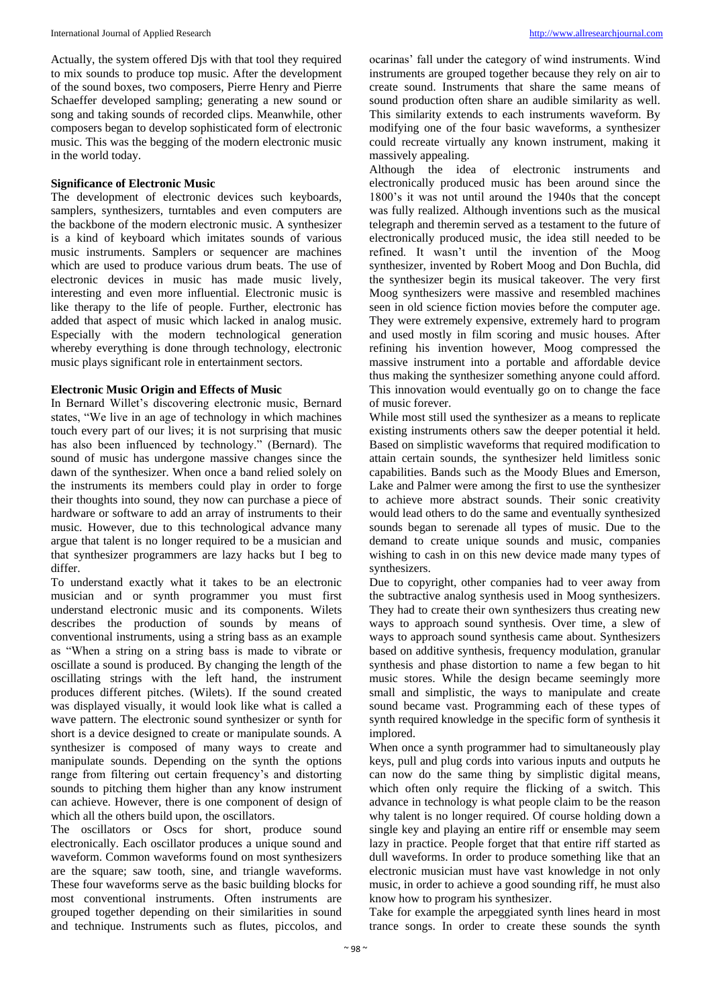Actually, the system offered Djs with that tool they required to mix sounds to produce top music. After the development of the sound boxes, two composers, Pierre Henry and Pierre Schaeffer developed sampling; generating a new sound or song and taking sounds of recorded clips. Meanwhile, other composers began to develop sophisticated form of electronic music. This was the begging of the modern electronic music in the world today.

# **Significance of Electronic Music**

The development of electronic devices such keyboards, samplers, synthesizers, turntables and even computers are the backbone of the modern electronic music. A synthesizer is a kind of keyboard which imitates sounds of various music instruments. Samplers or sequencer are machines which are used to produce various drum beats. The use of electronic devices in music has made music lively, interesting and even more influential. Electronic music is like therapy to the life of people. Further, electronic has added that aspect of music which lacked in analog music. Especially with the modern technological generation whereby everything is done through technology, electronic music plays significant role in entertainment sectors.

# **Electronic Music Origin and Effects of Music**

In Bernard Willet's discovering electronic music, Bernard states, "We live in an age of technology in which machines touch every part of our lives; it is not surprising that music has also been influenced by technology." (Bernard). The sound of music has undergone massive changes since the dawn of the synthesizer. When once a band relied solely on the instruments its members could play in order to forge their thoughts into sound, they now can purchase a piece of hardware or software to add an array of instruments to their music. However, due to this technological advance many argue that talent is no longer required to be a musician and that synthesizer programmers are lazy hacks but I beg to differ.

To understand exactly what it takes to be an electronic musician and or synth programmer you must first understand electronic music and its components. Wilets describes the production of sounds by means of conventional instruments, using a string bass as an example as "When a string on a string bass is made to vibrate or oscillate a sound is produced. By changing the length of the oscillating strings with the left hand, the instrument produces different pitches. (Wilets). If the sound created was displayed visually, it would look like what is called a wave pattern. The electronic sound synthesizer or synth for short is a device designed to create or manipulate sounds. A synthesizer is composed of many ways to create and manipulate sounds. Depending on the synth the options range from filtering out certain frequency's and distorting sounds to pitching them higher than any know instrument can achieve. However, there is one component of design of which all the others build upon, the oscillators.

The oscillators or Oscs for short, produce sound electronically. Each oscillator produces a unique sound and waveform. Common waveforms found on most synthesizers are the square; saw tooth, sine, and triangle waveforms. These four waveforms serve as the basic building blocks for most conventional instruments. Often instruments are grouped together depending on their similarities in sound and technique. Instruments such as flutes, piccolos, and

ocarinas' fall under the category of wind instruments. Wind instruments are grouped together because they rely on air to create sound. Instruments that share the same means of sound production often share an audible similarity as well. This similarity extends to each instruments waveform. By modifying one of the four basic waveforms, a synthesizer could recreate virtually any known instrument, making it massively appealing.

Although the idea of electronic instruments and electronically produced music has been around since the 1800's it was not until around the 1940s that the concept was fully realized. Although inventions such as the musical telegraph and theremin served as a testament to the future of electronically produced music, the idea still needed to be refined. It wasn't until the invention of the Moog synthesizer, invented by Robert Moog and Don Buchla, did the synthesizer begin its musical takeover. The very first Moog synthesizers were massive and resembled machines seen in old science fiction movies before the computer age. They were extremely expensive, extremely hard to program and used mostly in film scoring and music houses. After refining his invention however, Moog compressed the massive instrument into a portable and affordable device thus making the synthesizer something anyone could afford. This innovation would eventually go on to change the face of music forever.

While most still used the synthesizer as a means to replicate existing instruments others saw the deeper potential it held. Based on simplistic waveforms that required modification to attain certain sounds, the synthesizer held limitless sonic capabilities. Bands such as the Moody Blues and Emerson, Lake and Palmer were among the first to use the synthesizer to achieve more abstract sounds. Their sonic creativity would lead others to do the same and eventually synthesized sounds began to serenade all types of music. Due to the demand to create unique sounds and music, companies wishing to cash in on this new device made many types of synthesizers.

Due to copyright, other companies had to veer away from the subtractive analog synthesis used in Moog synthesizers. They had to create their own synthesizers thus creating new ways to approach sound synthesis. Over time, a slew of ways to approach sound synthesis came about. Synthesizers based on additive synthesis, frequency modulation, granular synthesis and phase distortion to name a few began to hit music stores. While the design became seemingly more small and simplistic, the ways to manipulate and create sound became vast. Programming each of these types of synth required knowledge in the specific form of synthesis it implored.

When once a synth programmer had to simultaneously play keys, pull and plug cords into various inputs and outputs he can now do the same thing by simplistic digital means, which often only require the flicking of a switch. This advance in technology is what people claim to be the reason why talent is no longer required. Of course holding down a single key and playing an entire riff or ensemble may seem lazy in practice. People forget that that entire riff started as dull waveforms. In order to produce something like that an electronic musician must have vast knowledge in not only music, in order to achieve a good sounding riff, he must also know how to program his synthesizer.

Take for example the arpeggiated synth lines heard in most trance songs. In order to create these sounds the synth